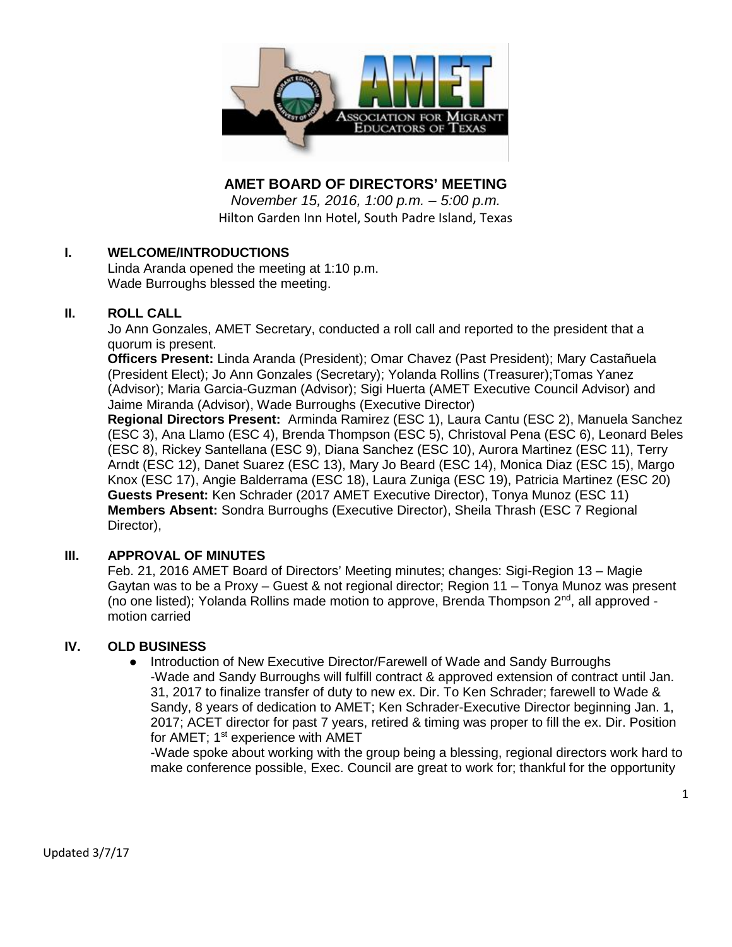

**AMET BOARD OF DIRECTORS' MEETING**

*November 15, 2016, 1:00 p.m. – 5:00 p.m.* Hilton Garden Inn Hotel, South Padre Island, Texas

## **I. WELCOME/INTRODUCTIONS**

Linda Aranda opened the meeting at 1:10 p.m. Wade Burroughs blessed the meeting.

#### **II. ROLL CALL**

Jo Ann Gonzales, AMET Secretary, conducted a roll call and reported to the president that a quorum is present.

**Officers Present:** Linda Aranda (President); Omar Chavez (Past President); Mary Castañuela (President Elect); Jo Ann Gonzales (Secretary); Yolanda Rollins (Treasurer);Tomas Yanez (Advisor); Maria Garcia-Guzman (Advisor); Sigi Huerta (AMET Executive Council Advisor) and Jaime Miranda (Advisor), Wade Burroughs (Executive Director)

**Regional Directors Present:** Arminda Ramirez (ESC 1), Laura Cantu (ESC 2), Manuela Sanchez (ESC 3), Ana Llamo (ESC 4), Brenda Thompson (ESC 5), Christoval Pena (ESC 6), Leonard Beles (ESC 8), Rickey Santellana (ESC 9), Diana Sanchez (ESC 10), Aurora Martinez (ESC 11), Terry Arndt (ESC 12), Danet Suarez (ESC 13), Mary Jo Beard (ESC 14), Monica Diaz (ESC 15), Margo Knox (ESC 17), Angie Balderrama (ESC 18), Laura Zuniga (ESC 19), Patricia Martinez (ESC 20) **Guests Present:** Ken Schrader (2017 AMET Executive Director), Tonya Munoz (ESC 11) **Members Absent:** Sondra Burroughs (Executive Director), Sheila Thrash (ESC 7 Regional Director),

## **III. APPROVAL OF MINUTES**

Feb. 21, 2016 AMET Board of Directors' Meeting minutes; changes: Sigi-Region 13 – Magie Gaytan was to be a Proxy – Guest & not regional director; Region 11 – Tonya Munoz was present (no one listed); Yolanda Rollins made motion to approve, Brenda Thompson  $2<sup>nd</sup>$ , all approved motion carried

## **IV. OLD BUSINESS**

● Introduction of New Executive Director/Farewell of Wade and Sandy Burroughs -Wade and Sandy Burroughs will fulfill contract & approved extension of contract until Jan. 31, 2017 to finalize transfer of duty to new ex. Dir. To Ken Schrader; farewell to Wade & Sandy, 8 years of dedication to AMET; Ken Schrader-Executive Director beginning Jan. 1, 2017; ACET director for past 7 years, retired & timing was proper to fill the ex. Dir. Position for AMET;  $1<sup>st</sup>$  experience with AMET

-Wade spoke about working with the group being a blessing, regional directors work hard to make conference possible, Exec. Council are great to work for; thankful for the opportunity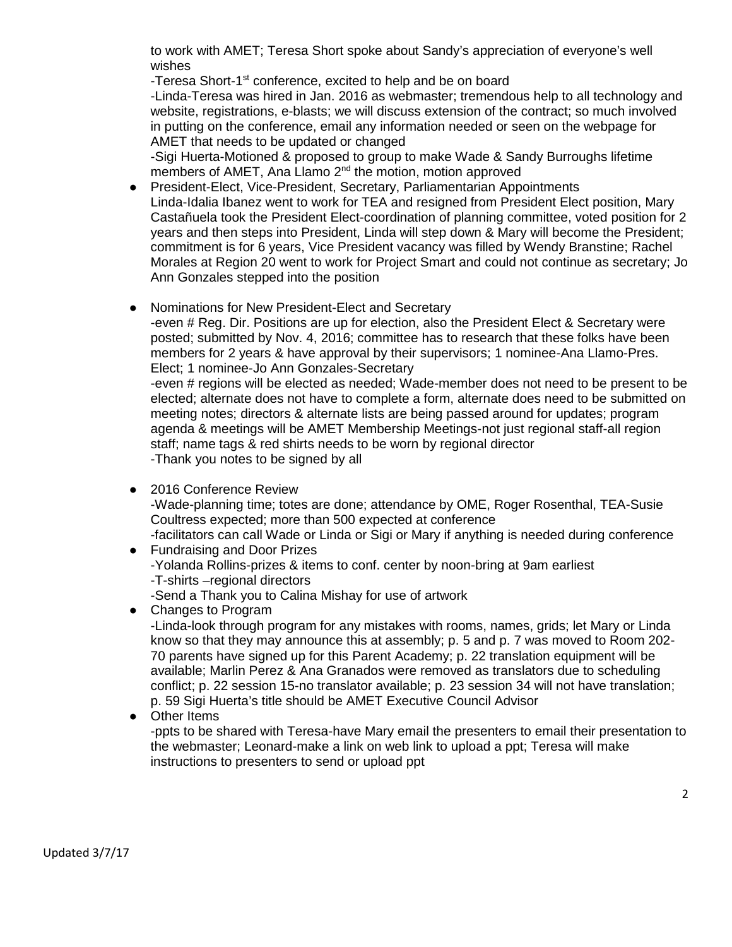to work with AMET; Teresa Short spoke about Sandy's appreciation of everyone's well wishes

-Teresa Short-1<sup>st</sup> conference, excited to help and be on board

-Linda-Teresa was hired in Jan. 2016 as webmaster; tremendous help to all technology and website, registrations, e-blasts; we will discuss extension of the contract; so much involved in putting on the conference, email any information needed or seen on the webpage for AMET that needs to be updated or changed

-Sigi Huerta-Motioned & proposed to group to make Wade & Sandy Burroughs lifetime members of AMET, Ana Llamo 2<sup>nd</sup> the motion, motion approved

- President-Elect, Vice-President, Secretary, Parliamentarian Appointments Linda-Idalia Ibanez went to work for TEA and resigned from President Elect position, Mary Castañuela took the President Elect-coordination of planning committee, voted position for 2 years and then steps into President, Linda will step down & Mary will become the President; commitment is for 6 years, Vice President vacancy was filled by Wendy Branstine; Rachel Morales at Region 20 went to work for Project Smart and could not continue as secretary; Jo Ann Gonzales stepped into the position
- Nominations for New President-Elect and Secretary

-even # Reg. Dir. Positions are up for election, also the President Elect & Secretary were posted; submitted by Nov. 4, 2016; committee has to research that these folks have been members for 2 years & have approval by their supervisors; 1 nominee-Ana Llamo-Pres. Elect; 1 nominee-Jo Ann Gonzales-Secretary

-even # regions will be elected as needed; Wade-member does not need to be present to be elected; alternate does not have to complete a form, alternate does need to be submitted on meeting notes; directors & alternate lists are being passed around for updates; program agenda & meetings will be AMET Membership Meetings-not just regional staff-all region staff; name tags & red shirts needs to be worn by regional director -Thank you notes to be signed by all

- 2016 Conference Review -Wade-planning time; totes are done; attendance by OME, Roger Rosenthal, TEA-Susie Coultress expected; more than 500 expected at conference -facilitators can call Wade or Linda or Sigi or Mary if anything is needed during conference
- Fundraising and Door Prizes -Yolanda Rollins-prizes & items to conf. center by noon-bring at 9am earliest -T-shirts –regional directors -Send a Thank you to Calina Mishay for use of artwork
- Changes to Program -Linda-look through program for any mistakes with rooms, names, grids; let Mary or Linda know so that they may announce this at assembly; p. 5 and p. 7 was moved to Room 202- 70 parents have signed up for this Parent Academy; p. 22 translation equipment will be available; Marlin Perez & Ana Granados were removed as translators due to scheduling conflict; p. 22 session 15-no translator available; p. 23 session 34 will not have translation; p. 59 Sigi Huerta's title should be AMET Executive Council Advisor
- **Other Items**

-ppts to be shared with Teresa-have Mary email the presenters to email their presentation to the webmaster; Leonard-make a link on web link to upload a ppt; Teresa will make instructions to presenters to send or upload ppt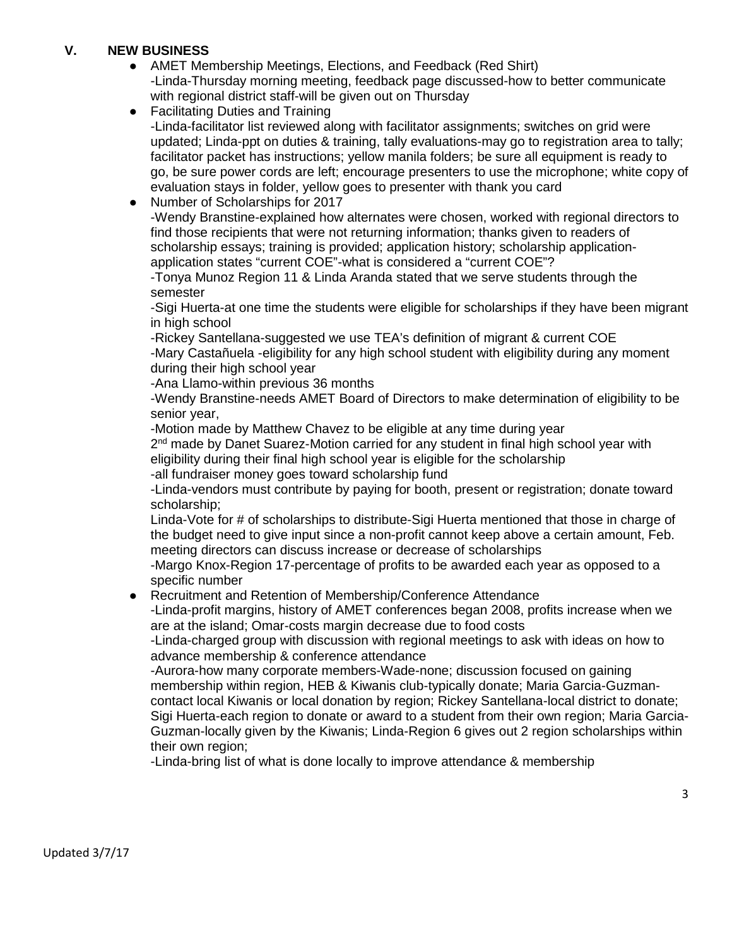## **V. NEW BUSINESS**

- AMET Membership Meetings, Elections, and Feedback (Red Shirt) -Linda-Thursday morning meeting, feedback page discussed-how to better communicate with regional district staff-will be given out on Thursday
- Facilitating Duties and Training -Linda-facilitator list reviewed along with facilitator assignments; switches on grid were updated; Linda-ppt on duties & training, tally evaluations-may go to registration area to tally; facilitator packet has instructions; yellow manila folders; be sure all equipment is ready to go, be sure power cords are left; encourage presenters to use the microphone; white copy of evaluation stays in folder, yellow goes to presenter with thank you card
- Number of Scholarships for 2017

-Wendy Branstine-explained how alternates were chosen, worked with regional directors to find those recipients that were not returning information; thanks given to readers of scholarship essays; training is provided; application history; scholarship applicationapplication states "current COE"-what is considered a "current COE"?

-Tonya Munoz Region 11 & Linda Aranda stated that we serve students through the semester

-Sigi Huerta-at one time the students were eligible for scholarships if they have been migrant in high school

-Rickey Santellana-suggested we use TEA's definition of migrant & current COE -Mary Castañuela -eligibility for any high school student with eligibility during any moment during their high school year

-Ana Llamo-within previous 36 months

-Wendy Branstine-needs AMET Board of Directors to make determination of eligibility to be senior year,

-Motion made by Matthew Chavez to be eligible at any time during year

2<sup>nd</sup> made by Danet Suarez-Motion carried for any student in final high school year with eligibility during their final high school year is eligible for the scholarship

-all fundraiser money goes toward scholarship fund

-Linda-vendors must contribute by paying for booth, present or registration; donate toward scholarship;

Linda-Vote for # of scholarships to distribute-Sigi Huerta mentioned that those in charge of the budget need to give input since a non-profit cannot keep above a certain amount, Feb. meeting directors can discuss increase or decrease of scholarships

-Margo Knox-Region 17-percentage of profits to be awarded each year as opposed to a specific number

● Recruitment and Retention of Membership/Conference Attendance

-Linda-profit margins, history of AMET conferences began 2008, profits increase when we are at the island; Omar-costs margin decrease due to food costs

-Linda-charged group with discussion with regional meetings to ask with ideas on how to advance membership & conference attendance

-Aurora-how many corporate members-Wade-none; discussion focused on gaining membership within region, HEB & Kiwanis club-typically donate; Maria Garcia-Guzmancontact local Kiwanis or local donation by region; Rickey Santellana-local district to donate; Sigi Huerta-each region to donate or award to a student from their own region; Maria Garcia-Guzman-locally given by the Kiwanis; Linda-Region 6 gives out 2 region scholarships within their own region;

-Linda-bring list of what is done locally to improve attendance & membership